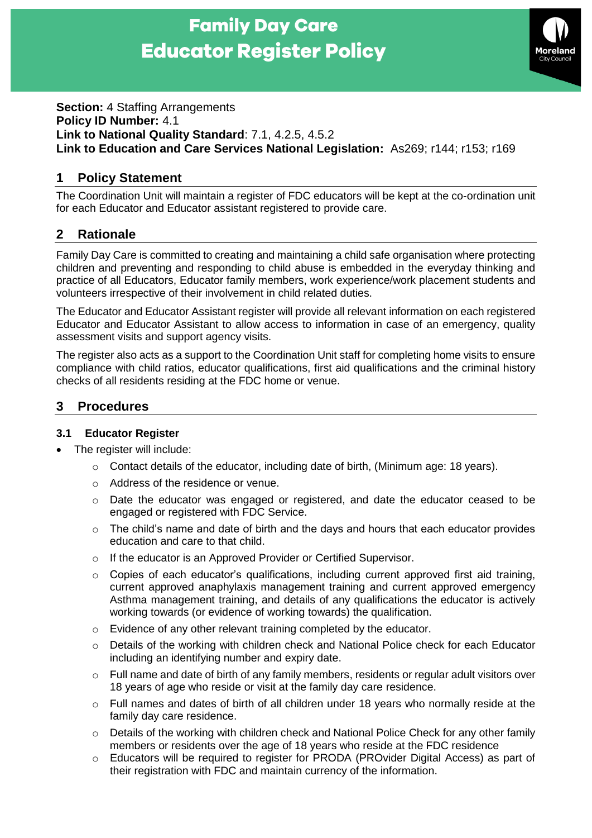# **Family Day Care Educator Register Policy**



#### **Section: 4 Staffing Arrangements Policy ID Number:** 4.1 **Link to National Quality Standard**: 7.1, 4.2.5, 4.5.2 **Link to Education and Care Services National Legislation:** As269; r144; r153; r169

# **1 Policy Statement**

The Coordination Unit will maintain a register of FDC educators will be kept at the co-ordination unit for each Educator and Educator assistant registered to provide care.

# **2 Rationale**

Family Day Care is committed to creating and maintaining a child safe organisation where protecting children and preventing and responding to child abuse is embedded in the everyday thinking and practice of all Educators, Educator family members, work experience/work placement students and volunteers irrespective of their involvement in child related duties.

The Educator and Educator Assistant register will provide all relevant information on each registered Educator and Educator Assistant to allow access to information in case of an emergency, quality assessment visits and support agency visits.

The register also acts as a support to the Coordination Unit staff for completing home visits to ensure compliance with child ratios, educator qualifications, first aid qualifications and the criminal history checks of all residents residing at the FDC home or venue.

## **3 Procedures**

#### **3.1 Educator Register**

- The register will include:
	- $\circ$  Contact details of the educator, including date of birth, (Minimum age: 18 years).
	- o Address of the residence or venue.
	- $\circ$  Date the educator was engaged or registered, and date the educator ceased to be engaged or registered with FDC Service.
	- $\circ$  The child's name and date of birth and the days and hours that each educator provides education and care to that child.
	- o If the educator is an Approved Provider or Certified Supervisor.
	- o Copies of each educator's qualifications, including current approved first aid training, current approved anaphylaxis management training and current approved emergency Asthma management training, and details of any qualifications the educator is actively working towards (or evidence of working towards) the qualification.
	- o Evidence of any other relevant training completed by the educator.
	- o Details of the working with children check and National Police check for each Educator including an identifying number and expiry date.
	- $\circ$  Full name and date of birth of any family members, residents or regular adult visitors over 18 years of age who reside or visit at the family day care residence.
	- $\circ$  Full names and dates of birth of all children under 18 years who normally reside at the family day care residence.
	- $\circ$  Details of the working with children check and National Police Check for any other family members or residents over the age of 18 years who reside at the FDC residence
	- o Educators will be required to register for PRODA (PROvider Digital Access) as part of their registration with FDC and maintain currency of the information.